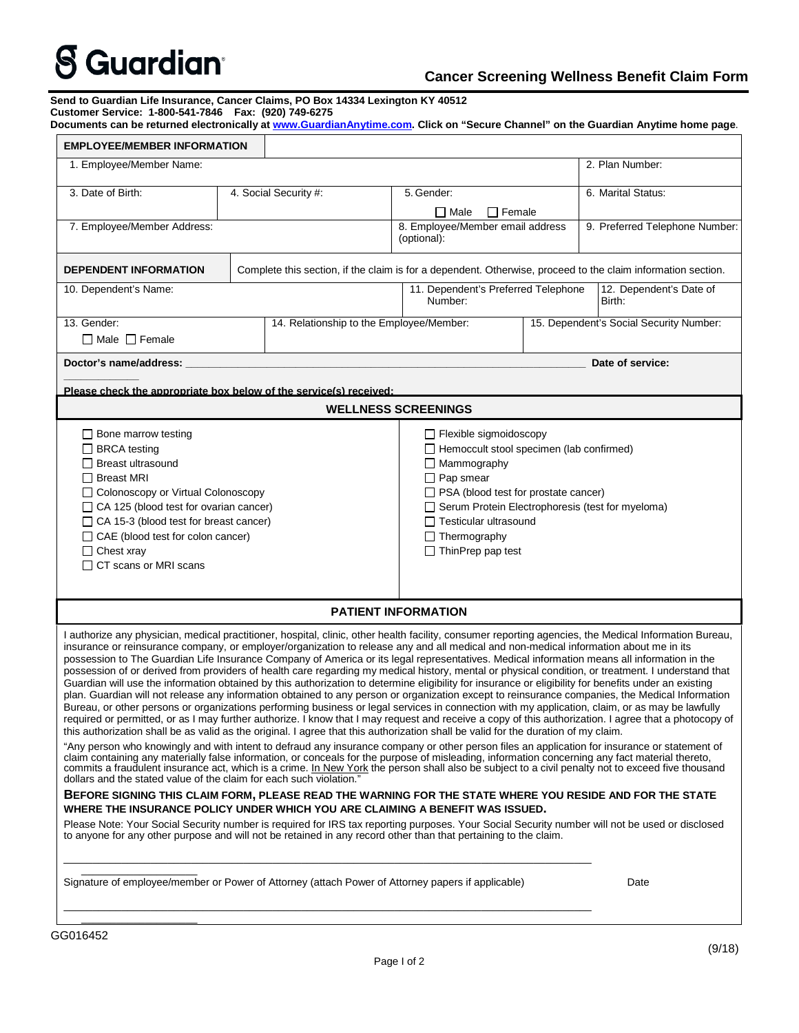## **S** Guardian®

## **Cancer Screening Wellness Benefit Claim Form**

**Send to Guardian Life Insurance, Cancer Claims, PO Box 14334 Lexington KY 40512 Customer Service: 1-800-541-7846 Fax: (920) 749-6275**

| Documents can be returned electronically at <u>www.GuardianAnytime.com</u> . Click on "Secure Channel" on the Guardian Anytime home page. |  |  |
|-------------------------------------------------------------------------------------------------------------------------------------------|--|--|
|                                                                                                                                           |  |  |

| <b>EMPLOYEE/MEMBER INFORMATION</b>                                                                                                                                                                                                                                                                                                                                                                                                                                                                                                                                                                                                                                                                                                                                                                                                                                                                                                                                                                                                                                                                                                                                                                                                                                                                                                                                                                                                                                                                                                                                                                                                                                                                                                                                                                                                                                                                                                                                                                               |  |                                                                                     |                                                                                                                                                                                                                                                                                                           |                  |                                         |  |  |  |  |
|------------------------------------------------------------------------------------------------------------------------------------------------------------------------------------------------------------------------------------------------------------------------------------------------------------------------------------------------------------------------------------------------------------------------------------------------------------------------------------------------------------------------------------------------------------------------------------------------------------------------------------------------------------------------------------------------------------------------------------------------------------------------------------------------------------------------------------------------------------------------------------------------------------------------------------------------------------------------------------------------------------------------------------------------------------------------------------------------------------------------------------------------------------------------------------------------------------------------------------------------------------------------------------------------------------------------------------------------------------------------------------------------------------------------------------------------------------------------------------------------------------------------------------------------------------------------------------------------------------------------------------------------------------------------------------------------------------------------------------------------------------------------------------------------------------------------------------------------------------------------------------------------------------------------------------------------------------------------------------------------------------------|--|-------------------------------------------------------------------------------------|-----------------------------------------------------------------------------------------------------------------------------------------------------------------------------------------------------------------------------------------------------------------------------------------------------------|------------------|-----------------------------------------|--|--|--|--|
| 1. Employee/Member Name:                                                                                                                                                                                                                                                                                                                                                                                                                                                                                                                                                                                                                                                                                                                                                                                                                                                                                                                                                                                                                                                                                                                                                                                                                                                                                                                                                                                                                                                                                                                                                                                                                                                                                                                                                                                                                                                                                                                                                                                         |  |                                                                                     |                                                                                                                                                                                                                                                                                                           |                  | 2. Plan Number:                         |  |  |  |  |
| 3. Date of Birth:                                                                                                                                                                                                                                                                                                                                                                                                                                                                                                                                                                                                                                                                                                                                                                                                                                                                                                                                                                                                                                                                                                                                                                                                                                                                                                                                                                                                                                                                                                                                                                                                                                                                                                                                                                                                                                                                                                                                                                                                |  | 4. Social Security #:                                                               | 5. Gender:                                                                                                                                                                                                                                                                                                |                  | 6. Marital Status:                      |  |  |  |  |
|                                                                                                                                                                                                                                                                                                                                                                                                                                                                                                                                                                                                                                                                                                                                                                                                                                                                                                                                                                                                                                                                                                                                                                                                                                                                                                                                                                                                                                                                                                                                                                                                                                                                                                                                                                                                                                                                                                                                                                                                                  |  |                                                                                     | $\Box$ Male<br>$\Box$ Female                                                                                                                                                                                                                                                                              |                  |                                         |  |  |  |  |
| 7. Employee/Member Address:                                                                                                                                                                                                                                                                                                                                                                                                                                                                                                                                                                                                                                                                                                                                                                                                                                                                                                                                                                                                                                                                                                                                                                                                                                                                                                                                                                                                                                                                                                                                                                                                                                                                                                                                                                                                                                                                                                                                                                                      |  | 8. Employee/Member email address<br>9. Preferred Telephone Number:<br>(optional):   |                                                                                                                                                                                                                                                                                                           |                  |                                         |  |  |  |  |
| Complete this section, if the claim is for a dependent. Otherwise, proceed to the claim information section.<br><b>DEPENDENT INFORMATION</b>                                                                                                                                                                                                                                                                                                                                                                                                                                                                                                                                                                                                                                                                                                                                                                                                                                                                                                                                                                                                                                                                                                                                                                                                                                                                                                                                                                                                                                                                                                                                                                                                                                                                                                                                                                                                                                                                     |  |                                                                                     |                                                                                                                                                                                                                                                                                                           |                  |                                         |  |  |  |  |
| 10. Dependent's Name:                                                                                                                                                                                                                                                                                                                                                                                                                                                                                                                                                                                                                                                                                                                                                                                                                                                                                                                                                                                                                                                                                                                                                                                                                                                                                                                                                                                                                                                                                                                                                                                                                                                                                                                                                                                                                                                                                                                                                                                            |  | 11. Dependent's Preferred Telephone<br>12. Dependent's Date of<br>Number:<br>Birth: |                                                                                                                                                                                                                                                                                                           |                  |                                         |  |  |  |  |
| 13. Gender:<br>$\Box$ Male $\Box$ Female                                                                                                                                                                                                                                                                                                                                                                                                                                                                                                                                                                                                                                                                                                                                                                                                                                                                                                                                                                                                                                                                                                                                                                                                                                                                                                                                                                                                                                                                                                                                                                                                                                                                                                                                                                                                                                                                                                                                                                         |  | 14. Relationship to the Employee/Member:                                            |                                                                                                                                                                                                                                                                                                           |                  | 15. Dependent's Social Security Number: |  |  |  |  |
| Doctor's name/address: ____________                                                                                                                                                                                                                                                                                                                                                                                                                                                                                                                                                                                                                                                                                                                                                                                                                                                                                                                                                                                                                                                                                                                                                                                                                                                                                                                                                                                                                                                                                                                                                                                                                                                                                                                                                                                                                                                                                                                                                                              |  |                                                                                     |                                                                                                                                                                                                                                                                                                           | Date of service: |                                         |  |  |  |  |
| Please check the appropriate box below of the service(s) received:                                                                                                                                                                                                                                                                                                                                                                                                                                                                                                                                                                                                                                                                                                                                                                                                                                                                                                                                                                                                                                                                                                                                                                                                                                                                                                                                                                                                                                                                                                                                                                                                                                                                                                                                                                                                                                                                                                                                               |  |                                                                                     |                                                                                                                                                                                                                                                                                                           |                  |                                         |  |  |  |  |
| <b>WELLNESS SCREENINGS</b>                                                                                                                                                                                                                                                                                                                                                                                                                                                                                                                                                                                                                                                                                                                                                                                                                                                                                                                                                                                                                                                                                                                                                                                                                                                                                                                                                                                                                                                                                                                                                                                                                                                                                                                                                                                                                                                                                                                                                                                       |  |                                                                                     |                                                                                                                                                                                                                                                                                                           |                  |                                         |  |  |  |  |
| $\Box$ Bone marrow testing<br>□ BRCA testing<br>$\Box$ Breast ultrasound<br>□ Breast MRI<br>□ Colonoscopy or Virtual Colonoscopy<br>$\Box$ CA 125 (blood test for ovarian cancer)<br>$\Box$ CA 15-3 (blood test for breast cancer)<br>$\Box$ CAE (blood test for colon cancer)<br>$\Box$ Chest xray<br>$\Box$ CT scans or MRI scans                                                                                                                                                                                                                                                                                                                                                                                                                                                                                                                                                                                                                                                                                                                                                                                                                                                                                                                                                                                                                                                                                                                                                                                                                                                                                                                                                                                                                                                                                                                                                                                                                                                                              |  |                                                                                     | $\Box$ Flexible sigmoidoscopy<br>Hemoccult stool specimen (lab confirmed)<br>$\Box$ Mammography<br>$\Box$ Pap smear<br>$\Box$ PSA (blood test for prostate cancer)<br>Serum Protein Electrophoresis (test for myeloma)<br>$\Box$ Testicular ultrasound<br>$\Box$ Thermography<br>$\Box$ ThinPrep pap test |                  |                                         |  |  |  |  |
| <b>PATIENT INFORMATION</b>                                                                                                                                                                                                                                                                                                                                                                                                                                                                                                                                                                                                                                                                                                                                                                                                                                                                                                                                                                                                                                                                                                                                                                                                                                                                                                                                                                                                                                                                                                                                                                                                                                                                                                                                                                                                                                                                                                                                                                                       |  |                                                                                     |                                                                                                                                                                                                                                                                                                           |                  |                                         |  |  |  |  |
| I authorize any physician, medical practitioner, hospital, clinic, other health facility, consumer reporting agencies, the Medical Information Bureau,<br>insurance or reinsurance company, or employer/organization to release any and all medical and non-medical information about me in its<br>possession to The Guardian Life Insurance Company of America or its legal representatives. Medical information means all information in the<br>possession of or derived from providers of health care regarding my medical history, mental or physical condition, or treatment. I understand that<br>Guardian will use the information obtained by this authorization to determine eligibility for insurance or eligibility for benefits under an existing<br>plan. Guardian will not release any information obtained to any person or organization except to reinsurance companies, the Medical Information<br>Bureau, or other persons or organizations performing business or legal services in connection with my application, claim, or as may be lawfully<br>required or permitted, or as I may further authorize. I know that I may request and receive a copy of this authorization. I agree that a photocopy of  <br>this authorization shall be as valid as the original. I agree that this authorization shall be valid for the duration of my claim.<br>"Any person who knowingly and with intent to defraud any insurance company or other person files an application for insurance or statement of<br>claim containing any materially false information, or conceals for the purpose of misleading, information concerning any fact material thereto,<br>commits a fraudulent insurance act, which is a crime. In New York the person shall also be subject to a civil penalty not to exceed five thousand<br>dollars and the stated value of the claim for each such violation."<br>BEFORE SIGNING THIS CLAIM FORM, PLEASE READ THE WARNING FOR THE STATE WHERE YOU RESIDE AND FOR THE STATE |  |                                                                                     |                                                                                                                                                                                                                                                                                                           |                  |                                         |  |  |  |  |
| WHERE THE INSURANCE POLICY UNDER WHICH YOU ARE CLAIMING A BENEFIT WAS ISSUED.                                                                                                                                                                                                                                                                                                                                                                                                                                                                                                                                                                                                                                                                                                                                                                                                                                                                                                                                                                                                                                                                                                                                                                                                                                                                                                                                                                                                                                                                                                                                                                                                                                                                                                                                                                                                                                                                                                                                    |  |                                                                                     |                                                                                                                                                                                                                                                                                                           |                  |                                         |  |  |  |  |
| Please Note: Your Social Security number is required for IRS tax reporting purposes. Your Social Security number will not be used or disclosed<br>to anyone for any other purpose and will not be retained in any record other than that pertaining to the claim.                                                                                                                                                                                                                                                                                                                                                                                                                                                                                                                                                                                                                                                                                                                                                                                                                                                                                                                                                                                                                                                                                                                                                                                                                                                                                                                                                                                                                                                                                                                                                                                                                                                                                                                                                |  |                                                                                     |                                                                                                                                                                                                                                                                                                           |                  |                                         |  |  |  |  |
| Signature of employee/member or Power of Attorney (attach Power of Attorney papers if applicable)<br>Date                                                                                                                                                                                                                                                                                                                                                                                                                                                                                                                                                                                                                                                                                                                                                                                                                                                                                                                                                                                                                                                                                                                                                                                                                                                                                                                                                                                                                                                                                                                                                                                                                                                                                                                                                                                                                                                                                                        |  |                                                                                     |                                                                                                                                                                                                                                                                                                           |                  |                                         |  |  |  |  |
|                                                                                                                                                                                                                                                                                                                                                                                                                                                                                                                                                                                                                                                                                                                                                                                                                                                                                                                                                                                                                                                                                                                                                                                                                                                                                                                                                                                                                                                                                                                                                                                                                                                                                                                                                                                                                                                                                                                                                                                                                  |  |                                                                                     |                                                                                                                                                                                                                                                                                                           |                  |                                         |  |  |  |  |